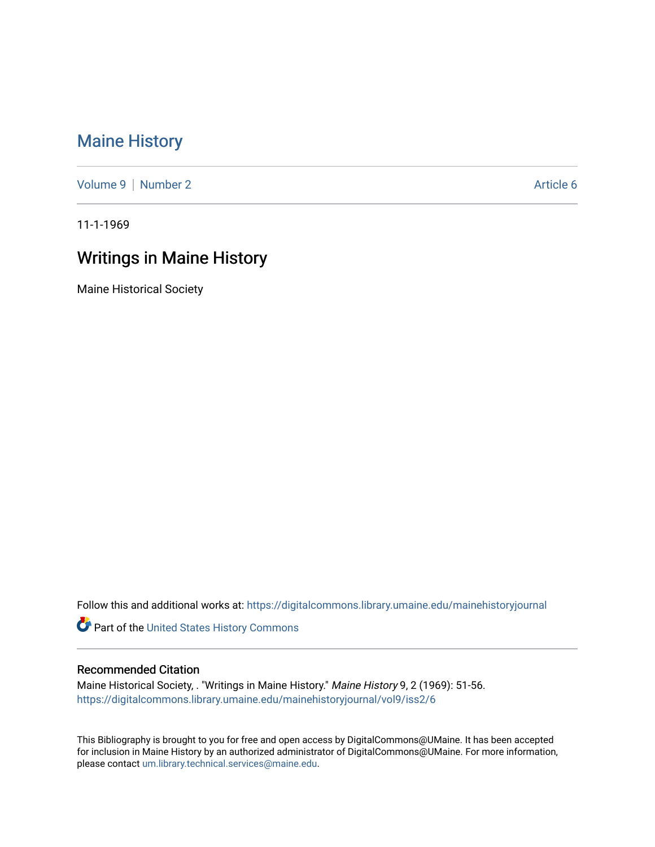## [Maine History](https://digitalcommons.library.umaine.edu/mainehistoryjournal)

[Volume 9](https://digitalcommons.library.umaine.edu/mainehistoryjournal/vol9) | [Number 2](https://digitalcommons.library.umaine.edu/mainehistoryjournal/vol9/iss2) Article 6

11-1-1969

## Writings in Maine History

Maine Historical Society

Follow this and additional works at: [https://digitalcommons.library.umaine.edu/mainehistoryjournal](https://digitalcommons.library.umaine.edu/mainehistoryjournal?utm_source=digitalcommons.library.umaine.edu%2Fmainehistoryjournal%2Fvol9%2Fiss2%2F6&utm_medium=PDF&utm_campaign=PDFCoverPages) 

Part of the [United States History Commons](http://network.bepress.com/hgg/discipline/495?utm_source=digitalcommons.library.umaine.edu%2Fmainehistoryjournal%2Fvol9%2Fiss2%2F6&utm_medium=PDF&utm_campaign=PDFCoverPages) 

## Recommended Citation

Maine Historical Society, . "Writings in Maine History." Maine History 9, 2 (1969): 51-56. [https://digitalcommons.library.umaine.edu/mainehistoryjournal/vol9/iss2/6](https://digitalcommons.library.umaine.edu/mainehistoryjournal/vol9/iss2/6?utm_source=digitalcommons.library.umaine.edu%2Fmainehistoryjournal%2Fvol9%2Fiss2%2F6&utm_medium=PDF&utm_campaign=PDFCoverPages)

This Bibliography is brought to you for free and open access by DigitalCommons@UMaine. It has been accepted for inclusion in Maine History by an authorized administrator of DigitalCommons@UMaine. For more information, please contact [um.library.technical.services@maine.edu.](mailto:um.library.technical.services@maine.edu)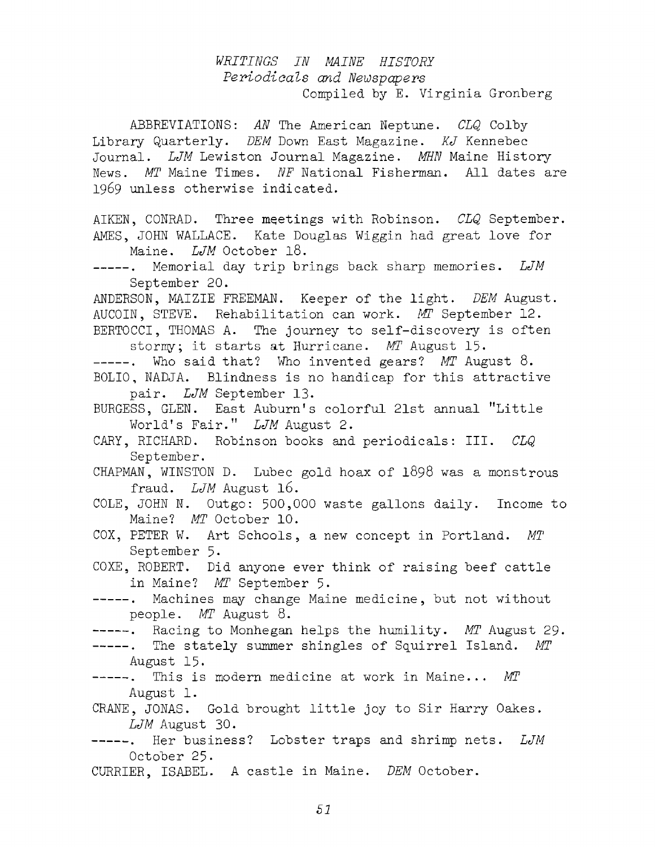## *WRITINGS IN MAINE HISTORY Periodicals and Newspapers* Compiled by E. Virginia Gronberg

ABBREVIATIONS: *AN* The American Neptune. *CLQ* Colby Library Quarterly. *DEM* Down East Magazine. *KJ* Kennebec Journal. *LJM* Lewiston Journal Magazine. *MHN* Maine History News. *MT* Maine Times. *NF* National Fisherman. All dates are 1969 unless otherwise indicated.

AIKEN, CONRAD. Three meetings with Robinson. *CLQ* September. AMES, JOHN WALLACE. Kate Douglas Wiggin had great love for Maine. *LJM* October 18.

ANDERSON, MAIZIE FREEMAN. Keeper of the light. *DEM* August. AUCOIN, STEVE. Rehabilitation can work. *MT* September 12. BERTOCCI, THOMAS A. The journey to self-discovery is often

stormy; it starts at Hurricane. *MT* August 15.

-----. Who said that? Who invented gears? MT August 8. BOLIO, NADJA. Blindness is no handicap for this attractive pair. *LJM* September 13.

BURGESS, GLEN. East Auburn's colorful 21st annual "Little World's Fair." *LJM* August 2.

- CHAPMAN, WINSTON D. Lubec gold hoax of  $1898$  was a monstrous fraud. *LJM* August 16.
- COLE, JOHN N. Outgo: 500,000 waste gallons daily. Income to Maine? *MT* October 10.
- COX, PETER W. Art Schools, a new concept in Portland. MT September 5•
- COXE, ROBERT. Did anyone ever think of raising beef cattle in Maine? MT September 5.
- -----. Machines may change Maine medicine, but not without people. *MT* August 8.

-----. Racing to Monhegan helps the humility. *MT* August 29.

- -----. The stately summer shingles of Squirrel Island. MT August 15.
- -----. This is modern medicine at work in Maine... *MT* August 1.
- CRANE, JONAS. Gold brought little joy to Sir Harry Oakes. *LJM* August 30.
- -----. Her business? Lobster traps and shrimp nets. LJM October 25.
- CURRIER, ISABEL. A castle in Maine. *DEM* October.

Memorial day trip brings back sharp memories. *LJM*  $----$ . September 20.

CARY, RICHARD. Robinson books and periodicals: III. *CLQ* September.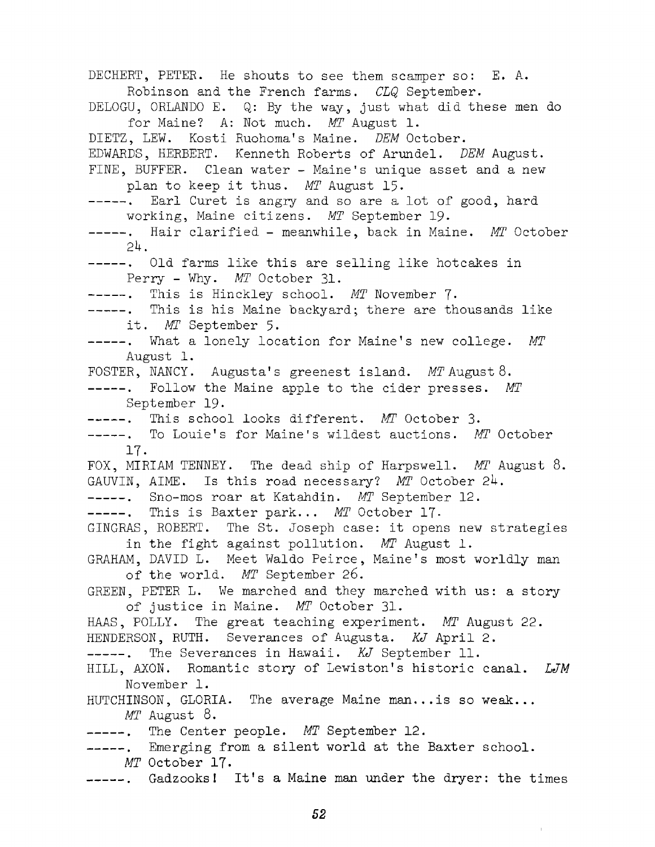DECHERT, PETER. He shouts to see them scamper so: E. A. Robinson and the French farms, *CLQ* September. DELOGU, ORLANDO E. Q: By the way, just what did these men do for Maine? A: Not much. MT August 1. DIETZ, LEW. Kosti Ruohoma's Maine. *DEM* October. EDWARDS, HERBERT. Kenneth Roberts of Arundel. *DEM* August. FINE, BUFFER. Clean water - Maine's unique asset and a new plan to keep it thus. *MT* August 15. -----. Earl Curet is angry and so are a lot of good, hard working, Maine citizens. *MT* September 19. -----. Hair clarified - meanwhile, back in Maine. *MT* October *2k.* -----. Old farms like this are selling like hotcakes in Perry - Why. *MT* October 31. -------- . This is Hinckley sch ool. *MT* November *J.* -----. This is his Maine backyard; there are thousands like it. MT September 5. -----. What a lonely location for Maine's new college. MT August 1. FOSTER, NANCY. Augusta's greenest island. MT August 8. -----. Follow the Maine apple to the cider presses. MT September 19. -----. This school looks different. MT October 3. -----. To Louie's for Maine's wildest auctions. MT October IT. FOX, MIRIAM TENNEY. The dead ship of Harpswell. *MT* August 8. GAUVIN, AIME. Is this road necessary? MT October 24. -------- . Sno-mos roar at Katahdin. *MT* September 12. -----. This is Baxter park... *MT* October 17. GINGRAS, ROBERT. The St. Joseph case: it opens new strategies in the fight against pollution. MT August 1. GRAHAM, DAVID L. Meet Waldo Peirce, Maine's most worldly man of the world. MT September 26. GREEN, PETER L. We marched and they marched with us: a story of justice in Maine. *MT* October 31. HAAS, POLLY. The great teaching experiment. *MT* August 22. HENDERSON, RUTH. Severances of Augusta. *KJ* April 2. -----. The Severances in Hawaii. *KJ* September 11. HILL, AXON. Romantic story of Lewiston's historic canal. *LJM* November 1. HUTCHINSON, GLORIA. The average Maine man... is so weak... *MT* August 8. -----. The Center people. *MT* September 12. -----. Emerging from a silent world at the Baxter school. *MT* October 17. -----. Gadzooks! It's a Maine man under the dryer: the times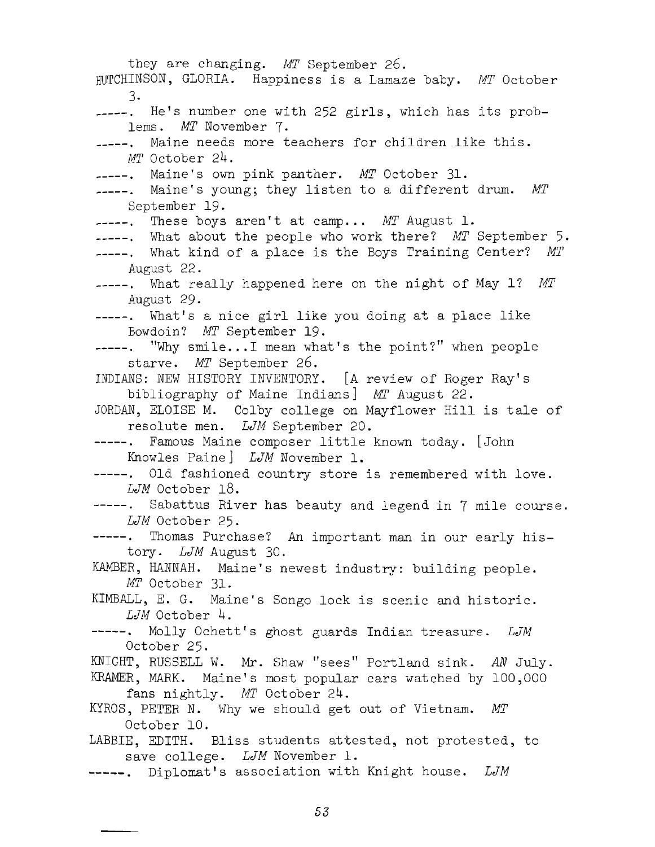they are changing. *MT* September 26 . HUTCHINSON, GLORIA. Happiness is a Lamaze baby. *MT* October 3. -----. He's number one with 252 girls, which has its problems. *MT* November 7. ...... Maine needs more teachers for children like this. *MT* October *2k.* Maine's own pink panther. *MT* October 31- ----. Maine's young; they listen to a different drum. MT September 19. ----. These boys aren't at camp... *MT* August 1. ----. What about the people who work there? MT September 5. ----. What kind of a place is the Boys Training Center? MT August 22. ----. What really happened here on the night of May 1? MT August 29. -----. What's a nice girl like you doing at a place like Bowdoin? *MT* September 19.  $---$ . "Why smile...I mean what's the point?" when people starve, *MT* September 26. INDIANS: NEW HISTORY INVENTORY. [A review of Roger Ray's bibliography of Maine Indians] MT August 22. JORDAN, ELOISE M. Colby college on Mayflower Hill is tale of resolute men. *LJM* September 20. ----. Famous Maine composer little known today. [John Knowles Paine] *LJM* November 1. -----. Old fashioned country store is remembered with love. *LJM* October 18. ----. Sabattus River has beauty and legend in 7 mile course. *LJM* October 25. -----. Thomas Purchase? An important man in our early history. *LJM* August 30. KAMBER, HANNAH. Maine's newest industry: building people. *MT* October 31. KIMBALL, E. G. Maine's Songo lock is scenic and historic. *LJM* October *k.* -----. Molly Ochett's ghost guards Indian treasure. LJM October 25. KNIGHT, RUSSELL W. Mr. Shaw "sees" Portland sink. *AN* July. KRAMER, MARK. Maine's most popular cars watched by 100,000 fans nightly. *MT* October 24. KYROS, PETER N. Why we should get out of Vietnam. MT October 10. LABBIE, EDITH. Bliss students attested, not protested, to save college. *LJM* November 1. -----. Diplomat's association with Knight house. *LJM*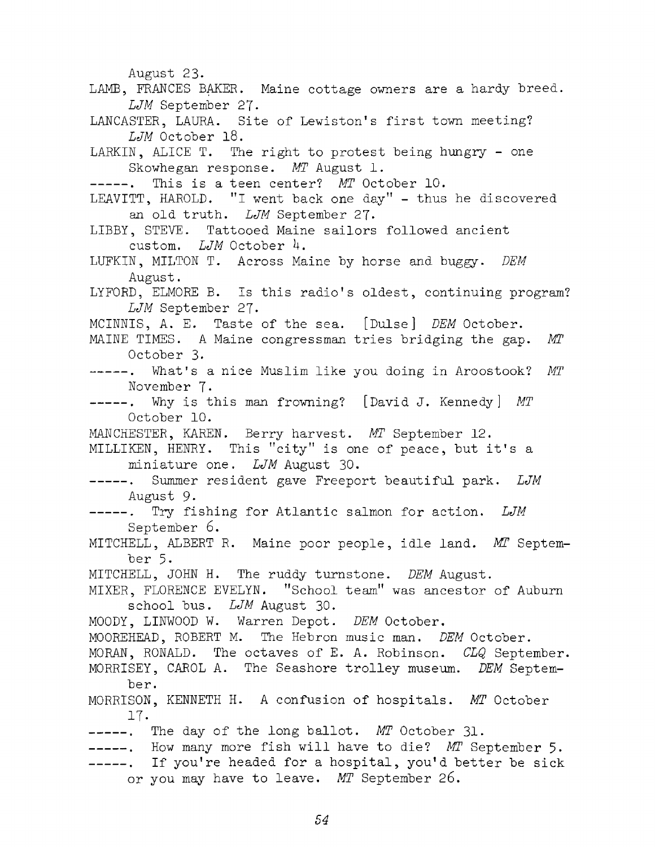August 23- LAMB, FRANCES BAKER. Maine cottage owners are a hardy breed. *LJM* September 27- LANCASTER, LAURA. Site of Lewiston's first town meeting? *LJM* October 18. LARKIN, ALICE T. The right to protest being hungry - one Skowhegan response. MT August 1. -----. This is a teen center? MT October 10. LEAVITT, HAROLD. "I went back one day" - thus he discovered an old truth. LJM September 27. LIBBY, STEVE. Tattooed Maine sailors followed ancient custom. *LJM* October 4. LUFKIN, MILTON T. Across Maine by horse and buggy. *DEM* August. LYFORD, ELMORE B. Is this radio's oldest, continuing program? *LJM* September 27- MCINNIS, A. E. Taste of the sea. [Dulse] *DEM* October. MAINE TIMES. A Maine congressman tries bridging the gap. MT October 3. ----. What's a nice Muslim like you doing in Aroostook? MT November 7- -----. Why is this man frowning? [David J. Kennedy] MT October 10. MANCHESTER, KAREN. Berry harvest. *MT* September 12. MILLIKEN, HENRY. This "city" is one of peace, but it's a miniature one. *LJM* August 30. -----. Summer resident gave Freeport beautiful park. *LJM* August 9- -----. Try fishing for Atlantic salmon for action. LJM September 6. MITCHELL, ALBERT R. Maine poor people, idle land. *MI* September 5. MITCHELL, JOHN H. The ruddy turnstone. *DEM* August. MIXER, FLORENCE EVELYN. "School team" was ancestor of Auburn sch ool bus. *LJM* August 30. MOODY, LINW00D W. Warren Depot. *DEM* October. MOOREHEAD, ROBERT M. The Hebron music man. *DEM* October. MORAN, RONALD. The octaves of E. A. Robinson. *CLQ* September. MORRISEY, CAROL A. The Seashore trolley museum. *DEM* September. MORRISON, KENNETH H. A confusion of hospitals. MT October 17- -----. The day of the long ballot. MT October 31. -----. How many more fish will have to die? MT September 5. -----. If you're headed for a hospital, you'd better be sick or you may have to leave. MT September 26.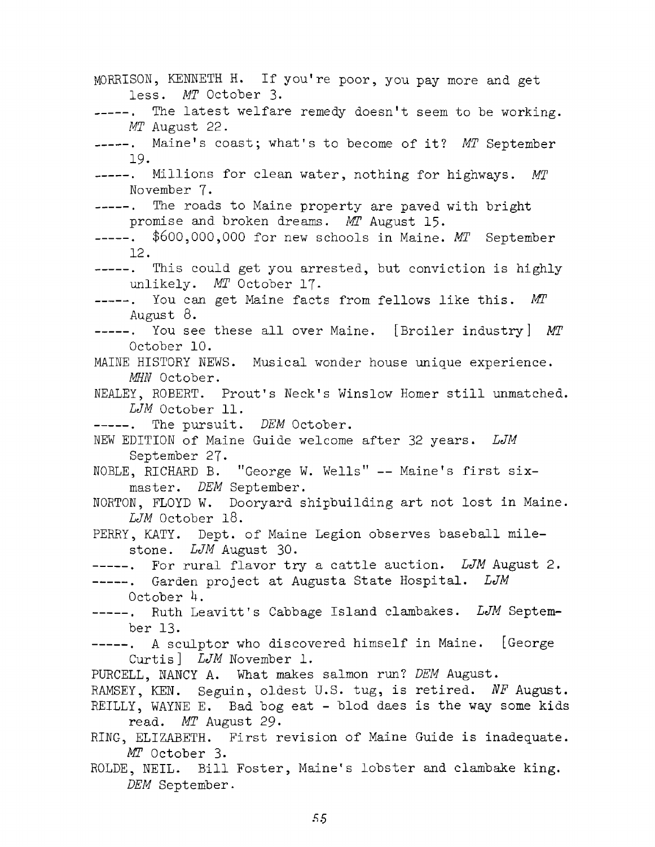MORRISON, KENNETH H. If you're poor, you pay more and get less. MT October 3. The latest welfare remedy doesn't seem to be working.  $-$ *MT* August 22. -----. Maine's coast; what's to become of it? MT September 19- -----. Millions for clean water, nothing for highways. MT November 7. -----. The roads to Maine property are paved with bright promise and broken dreams. *MT* August 15. -----. \$600,000,000 for new schools in Maine. MT September 12. ----. This could get you arrested, but conviction is highly unlikely. *MT* October 17. -----. You can get Maine facts from fellows like this. MT August  $8.$ -----. You see these all over Maine. [Broiler industry] *MT* October 10. MAINE HISTORY NEWS. Musical wonder house unique experience. MHN October. NEALEY, ROBERT. Prout's Neck's Winslow Homer still unmatched. *LJM* October 11. -----. The pursuit. *DEM* October. NEW EDITION of Maine Guide welcome after 32 years. *LJM* September 27. NOBLE, RICHARD B. "George W. Wells" -- Maine's first sixmaster. *DEM* September. NORTON, FLOYD W. Dooryard shipbuilding art not lost in Maine. *LJM* October 18. PERRY, KATY. Dept. of Maine Legion observes baseball milestone. *LJM* August 30. -----. For rural flavor try a cattle auction. LJM August 2. -----. Garden project at Augusta State Hospital. *LJM* October *k.* -----. Ruth Leavitt's Cabbage Island clambakes. *LJM* September 13. -----. A sculptor who discovered himself in Maine. [George Curtis<sup>]</sup> *LJM* November 1. PURCELL, NANCY A. What makes salmon run? *DEM* August. RAMSEY, KEN. Seguin, oldest U.S. tug, is retired. NF August. REILLY, WAYNE E. Bad bog eat - blod daes is the way some kids read. *MT* August 29. RING, ELIZABETH. First revision of Maine Guide is inadequate. *MT* O ctober 3. ROLDE, NEIL. Bill Foster, Maine's lobster and clambake king. *DEM* September.